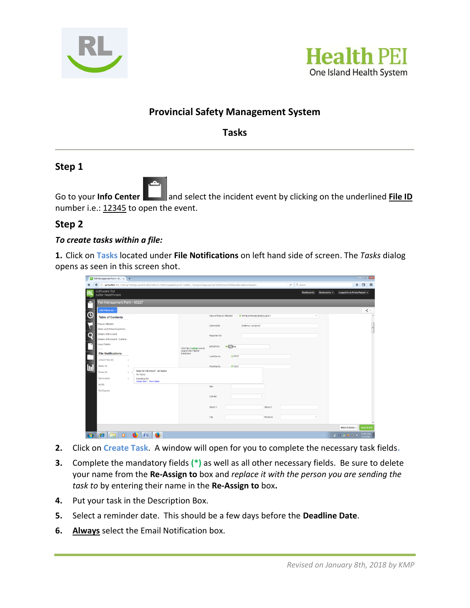



# **Provincial Safety Management System**

**Tasks**

# **Step 1**

Go to your **Info Center <b>Lett** and select the incident event by clicking on the underlined File ID number i.e.: 12345 to open the event.

# **Step 2**

#### *To create tasks within a file:*

**1.** Click on **Tasks** located under **File Notifications** on left hand side of screen. The *Tasks* dialog opens as seen in this screen shot.

|                                                                                       | $\overline{\phantom{a}}$<br>RI Fall Management Form - 6 X +                                                                                           |                                                            |                                              |                           |                                  |                                |  |  |  |  |  |
|---------------------------------------------------------------------------------------|-------------------------------------------------------------------------------------------------------------------------------------------------------|------------------------------------------------------------|----------------------------------------------|---------------------------|----------------------------------|--------------------------------|--|--|--|--|--|
| 音                                                                                     | €<br>(i) psmscR01/RL6_Training/FilePage.aspx?file=65227&form=FallManage&ReturnUrl=%2fRL6_Training%2fapp.aspx%23%2ffileViews%2f9&alertId=&chowhideack= |                                                            |                                              |                           | C <sup>I</sup> Q Search          | ÷<br>$\Box$<br>$\equiv$        |  |  |  |  |  |
| RL.                                                                                   | software for<br>safer healthcare                                                                                                                      |                                                            |                                              |                           | <b>Dashboards</b><br>Bookmarks v | Logged in as Krista Paquet -   |  |  |  |  |  |
|                                                                                       | Fall Management Form - 65227<br>Add Follow-up +                                                                                                       |                                                            |                                              |                           |                                  | $\prec$ .                      |  |  |  |  |  |
|                                                                                       | <b>Table of Contents</b>                                                                                                                              |                                                            | <b>Type of Person Affected</b>               | * PATIENT/RESIDENT/CLIENT | ٠                                |                                |  |  |  |  |  |
|                                                                                       | Person Affected<br>When and Where Event Occ                                                                                                           |                                                            | Entered By                                   | Matthew Campbell          |                                  |                                |  |  |  |  |  |
| $\blacksquare \odot \blacktriangleright \varnothing \blacktriangleright \blacksquare$ | Details of the Event<br>Details of the Event - Continu                                                                                                |                                                            | Reported for                                 |                           |                                  |                                |  |  |  |  |  |
|                                                                                       | <b>Injury Details</b><br><b>File Notifications</b>                                                                                                    | Click the Lookup icon to<br>search the Patient<br>Database | $\star$ $\in$ $\bullet$ na<br><b>MRN/PHN</b> |                           |                                  |                                |  |  |  |  |  |
|                                                                                       | Linked Files (0)<br>٠,                                                                                                                                |                                                            | $\star$ TEST<br>Last Name                    |                           |                                  |                                |  |  |  |  |  |
|                                                                                       | Alerts (0)<br>$\,$<br>Task For File 65227 - All Tasks<br>Tasks (0)<br>No Tasks                                                                        |                                                            | $*$ TEST<br>First Name                       |                           |                                  |                                |  |  |  |  |  |
|                                                                                       | Summaries<br>Showing 0/0<br>$\mathbf{r}$<br>Create Task   More Tasks.<br>Audits                                                                       |                                                            | Age                                          |                           |                                  |                                |  |  |  |  |  |
|                                                                                       | <b>File Exports</b>                                                                                                                                   |                                                            | Gender                                       | ٠                         |                                  |                                |  |  |  |  |  |
|                                                                                       |                                                                                                                                                       |                                                            | Street 1                                     | Street 2                  |                                  |                                |  |  |  |  |  |
|                                                                                       |                                                                                                                                                       |                                                            | City                                         | Province                  |                                  |                                |  |  |  |  |  |
|                                                                                       |                                                                                                                                                       |                                                            |                                              |                           |                                  | More Actions -<br>Save & Exi   |  |  |  |  |  |
| o                                                                                     | 550<br>G<br>G<br>$\bullet$<br>一<br>в<br>اصرا                                                                                                          |                                                            |                                              |                           |                                  | 11:55 AM<br>◎■国中国は<br>1/9/2018 |  |  |  |  |  |

- **2.** Click on **Create Task**. A window will open for you to complete the necessary task fields**.**
- **3.** Complete the mandatory fields **(\*)** as well as all other necessary fields. Be sure to delete your name from the **Re-Assign to** box and *replace it with the person you are sending the task to* by entering their name in the **Re-Assign to** box**.**
- **4.** Put your task in the Description Box.
- **5.** Select a reminder date. This should be a few days before the **Deadline Date**.
- **6. Always** select the Email Notification box.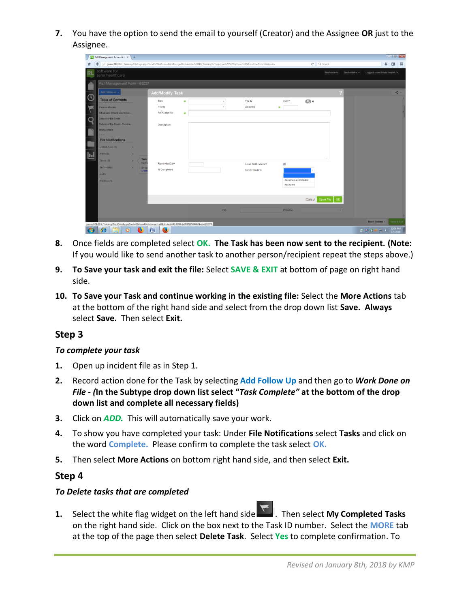**7.** You have the option to send the email to yourself (Creator) and the Assignee **OR** just to the Assignee.

|                | <b>RL</b> Fall Management Form - 6 X +                                                                      |                              |              |                                                                                                                                                  |                                  |                           |                                |
|----------------|-------------------------------------------------------------------------------------------------------------|------------------------------|--------------|--------------------------------------------------------------------------------------------------------------------------------------------------|----------------------------------|---------------------------|--------------------------------|
| n              |                                                                                                             |                              |              | 3> psmscft01/RL6_Training/FilePage.aspx?file=65227&form=FallManage&ReturnUrl=%2fRL6_Training%2fapp.aspx%23%2ffileViews%2f9&alertId=&showhideack= |                                  | C <sup>i</sup> Q, Search  | ⊕<br>$\equiv$<br>□             |
| <b>RL</b>      | software for<br>safer healthcare                                                                            |                              |              |                                                                                                                                                  |                                  | Dashboards<br>Bookmarks = | Logged in as Krista Paquet +   |
| Ê              | Fall Management Form - 65227                                                                                |                              |              |                                                                                                                                                  |                                  |                           |                                |
| $\odot$        | Add Follow-up -<br><b>Table of Contents</b>                                                                 | <b>Add/Modify Task</b>       |              |                                                                                                                                                  |                                  |                           | $\leq$ -                       |
|                | Person Affected                                                                                             | Type<br>$\ast$<br>Priority   | $\;$<br>$\;$ | File ID<br>Deadline                                                                                                                              | $\bigodot$ x<br>65227<br>$\star$ |                           |                                |
| $\frac{1}{2}$  | When and Where Event Occ<br>Details of the Event                                                            | Re-Assign To<br>$\star$      |              |                                                                                                                                                  |                                  |                           |                                |
| $\blacksquare$ | Details of the Event - Continu.<br><b>Injury Details</b>                                                    | <b>Description</b>           |              |                                                                                                                                                  |                                  |                           |                                |
|                | .<br><b>File Notifications</b>                                                                              |                              |              |                                                                                                                                                  |                                  |                           |                                |
| 园              | Linked Files (0)<br>٠<br>Alerts (0)<br>٠                                                                    |                              |              |                                                                                                                                                  |                                  |                           |                                |
|                | Task<br>Tasks (0)<br>×<br>No T<br>Summaries<br>Sho<br>×                                                     | Reminder Date<br>% Completed |              | Email Notifications?                                                                                                                             | $\overline{\mathbf{v}}$          |                           |                                |
|                | Crea<br><b>Audits</b><br>File Exports                                                                       |                              |              | Send Emails to                                                                                                                                   | Assignee and Creator             |                           |                                |
|                |                                                                                                             |                              |              |                                                                                                                                                  | Assignee                         |                           |                                |
|                |                                                                                                             |                              |              |                                                                                                                                                  | Cancel                           | Open File<br>OK           |                                |
|                |                                                                                                             |                              | City         |                                                                                                                                                  | Province                         |                           |                                |
|                | psmscft01/RL6_Training/TaskDetail.aspx?task=08dormDsHash=aedca4f9-bcda-4e05-8790-1e76976f54008dileid=65227# |                              |              |                                                                                                                                                  |                                  |                           | Save & Exit<br>More Actions ^  |
|                | G<br>в<br>o<br>ادت                                                                                          | e<br>瞥                       |              |                                                                                                                                                  |                                  |                           | 12:06 PM<br>20回の中国<br>1/9/2018 |

- **8.** Once fields are completed select **OK. The Task has been now sent to the recipient. (Note:** If you would like to send another task to another person/recipient repeat the steps above.)
- **9. To Save your task and exit the file:** Select **SAVE & EXIT** at bottom of page on right hand side.
- **10. To Save your Task and continue working in the existing file:** Select the **More Actions** tab at the bottom of the right hand side and select from the drop down list **Save. Always**  select **Save.** Then select **Exit.**

### **Step 3**

#### *To complete your task*

- **1.** Open up incident file as in Step 1.
- **2.** Record action done for the Task by selecting **Add Follow Up** and then go to *Work Done on File - (***In the Subtype drop down list select "***Task Complete"* **at the bottom of the drop down list and complete all necessary fields)**
- **3.** Click on *ADD.* This will automatically save your work.
- **4.** To show you have completed your task: Under **File Notifications** select **Tasks** and click on the word **Complete.** Please confirm to complete the task select **OK.**
- **5.** Then select **More Actions** on bottom right hand side, and then select **Exit.**

### **Step 4**

### *To Delete tasks that are completed*



**1.** Select the white flag widget on the left hand side **1.** Then select **My Completed Tasks** on the right hand side. Click on the box next to the Task ID number. Select the **MORE** tab at the top of the page then select **Delete Task**. Select **Yes** to complete confirmation. To